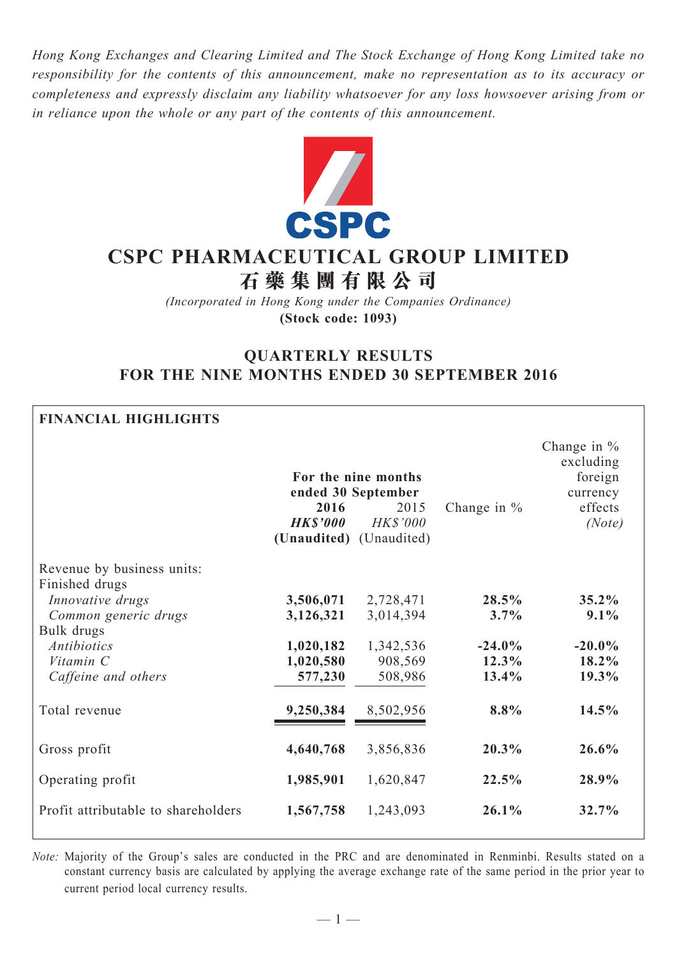*Hong Kong Exchanges and Clearing Limited and The Stock Exchange of Hong Kong Limited take no responsibility for the contents of this announcement, make no representation as to its accuracy or completeness and expressly disclaim any liability whatsoever for any loss howsoever arising from or in reliance upon the whole or any part of the contents of this announcement.*



# **CSPC Pharmaceutical Group Limited 石 藥 集 團 有 限 公 司**

*(Incorporated in Hong Kong under the Companies Ordinance)* **(Stock code: 1093)**

# **QUARTERLY RESULTS FOR THE NINE MONTHS ENDED 30 SEPTEMBER 2016**

| <b>FINANCIAL HIGHLIGHTS</b>                  |                                                    |                                                                      |                   |                                                                        |
|----------------------------------------------|----------------------------------------------------|----------------------------------------------------------------------|-------------------|------------------------------------------------------------------------|
|                                              | 2016<br><b>HK\$'000</b><br>(Unaudited) (Unaudited) | For the nine months<br>ended 30 September<br>2015<br><b>HK\$'000</b> | Change in $%$     | Change in $%$<br>excluding<br>foreign<br>currency<br>effects<br>(Note) |
| Revenue by business units:<br>Finished drugs |                                                    |                                                                      |                   |                                                                        |
| Innovative drugs                             | 3,506,071                                          | 2,728,471                                                            | 28.5%             | 35.2%                                                                  |
| Common generic drugs                         | 3,126,321                                          | 3,014,394                                                            | 3.7%              | 9.1%                                                                   |
| Bulk drugs                                   |                                                    |                                                                      |                   |                                                                        |
| <b>Antibiotics</b><br>Vitamin C              | 1,020,182<br>1,020,580                             | 1,342,536<br>908,569                                                 | $-24.0%$<br>12.3% | $-20.0\%$<br>18.2%                                                     |
| Caffeine and others                          | 577,230                                            | 508,986                                                              | 13.4%             | 19.3%                                                                  |
|                                              |                                                    |                                                                      |                   |                                                                        |
| Total revenue                                | 9,250,384                                          | 8,502,956                                                            | 8.8%              | 14.5%                                                                  |
| Gross profit                                 | 4,640,768                                          | 3,856,836                                                            | 20.3%             | 26.6%                                                                  |
| Operating profit                             | 1,985,901                                          | 1,620,847                                                            | 22.5%             | 28.9%                                                                  |
| Profit attributable to shareholders          | 1,567,758                                          | 1,243,093                                                            | 26.1%             | 32.7%                                                                  |

*Note:* Majority of the Group's sales are conducted in the PRC and are denominated in Renminbi. Results stated on a constant currency basis are calculated by applying the average exchange rate of the same period in the prior year to current period local currency results.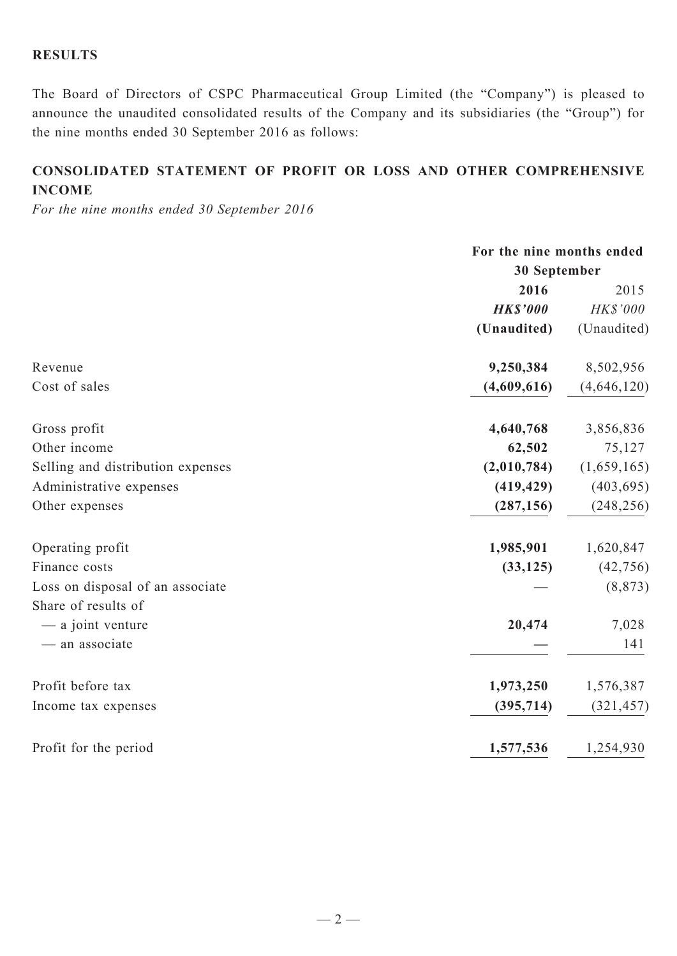# **RESULTS**

The Board of Directors of CSPC Pharmaceutical Group Limited (the "Company") is pleased to announce the unaudited consolidated results of the Company and its subsidiaries (the "Group") for the nine months ended 30 September 2016 as follows:

# **CONSOLIDATED Statement of profit or loss and other comprehensive income**

*For the nine months ended 30 September 2016*

|                                   | For the nine months ended |             |  |
|-----------------------------------|---------------------------|-------------|--|
|                                   | 30 September              |             |  |
|                                   | 2016                      | 2015        |  |
|                                   | <b>HK\$'000</b>           | HK\$'000    |  |
|                                   | (Unaudited)               | (Unaudited) |  |
| Revenue                           | 9,250,384                 | 8,502,956   |  |
| Cost of sales                     | (4,609,616)               | (4,646,120) |  |
| Gross profit                      | 4,640,768                 | 3,856,836   |  |
| Other income                      | 62,502                    | 75,127      |  |
| Selling and distribution expenses | (2,010,784)               | (1,659,165) |  |
| Administrative expenses           | (419, 429)                | (403, 695)  |  |
| Other expenses                    | (287, 156)                | (248, 256)  |  |
| Operating profit                  | 1,985,901                 | 1,620,847   |  |
| Finance costs                     | (33, 125)                 | (42, 756)   |  |
| Loss on disposal of an associate  |                           | (8, 873)    |  |
| Share of results of               |                           |             |  |
| - a joint venture                 | 20,474                    | 7,028       |  |
| - an associate                    |                           | 141         |  |
| Profit before tax                 | 1,973,250                 | 1,576,387   |  |
| Income tax expenses               | (395,714)                 | (321, 457)  |  |
| Profit for the period             | 1,577,536                 | 1,254,930   |  |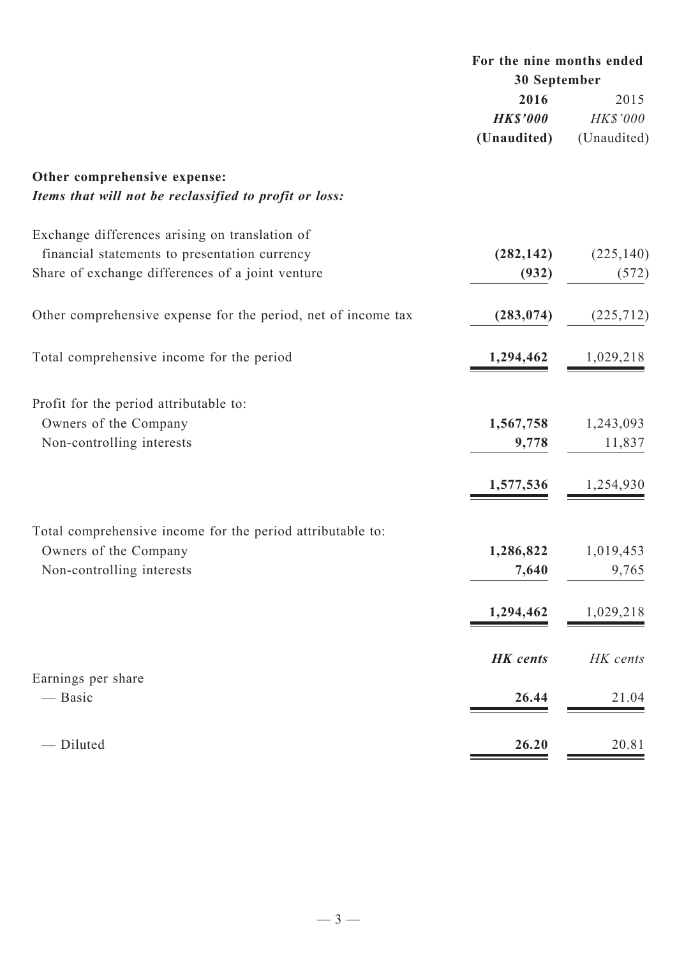|                                                               | For the nine months ended |             |
|---------------------------------------------------------------|---------------------------|-------------|
|                                                               | 30 September              |             |
|                                                               | 2016                      | 2015        |
|                                                               | <b>HK\$'000</b>           | HK\$'000    |
|                                                               | (Unaudited)               | (Unaudited) |
| Other comprehensive expense:                                  |                           |             |
| Items that will not be reclassified to profit or loss:        |                           |             |
| Exchange differences arising on translation of                |                           |             |
| financial statements to presentation currency                 | (282, 142)                | (225, 140)  |
| Share of exchange differences of a joint venture              | (932)                     | (572)       |
| Other comprehensive expense for the period, net of income tax | (283, 074)                | (225, 712)  |
| Total comprehensive income for the period                     | 1,294,462                 | 1,029,218   |
| Profit for the period attributable to:                        |                           |             |
| Owners of the Company                                         | 1,567,758                 | 1,243,093   |
| Non-controlling interests                                     | 9,778                     | 11,837      |
|                                                               | 1,577,536                 | 1,254,930   |
|                                                               |                           |             |
| Total comprehensive income for the period attributable to:    |                           |             |
| Owners of the Company                                         | 1,286,822                 | 1,019,453   |
| Non-controlling interests                                     | 7,640                     | 9,765       |
|                                                               | 1,294,462                 | 1,029,218   |
|                                                               | <b>HK</b> cents           | HK cents    |
| Earnings per share<br>— Basic                                 | 26.44                     | 21.04       |
|                                                               |                           |             |
| - Diluted                                                     | 26.20                     | 20.81       |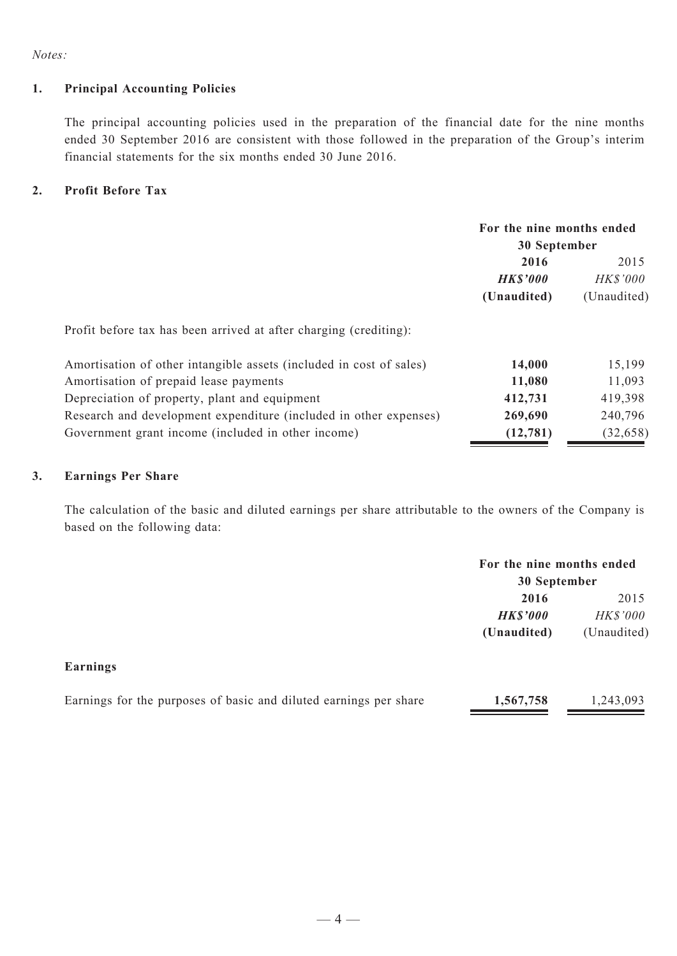*Notes:*

## **1. Principal Accounting Policies**

The principal accounting policies used in the preparation of the financial date for the nine months ended 30 September 2016 are consistent with those followed in the preparation of the Group's interim financial statements for the six months ended 30 June 2016.

## **2. Profit Before Tax**

|                                                                     | For the nine months ended<br>30 September |                 |  |
|---------------------------------------------------------------------|-------------------------------------------|-----------------|--|
|                                                                     |                                           |                 |  |
|                                                                     | 2016                                      | 2015            |  |
|                                                                     | <b>HK\$'000</b>                           | <b>HK\$'000</b> |  |
|                                                                     | (Unaudited)                               | (Unaudited)     |  |
| Profit before tax has been arrived at after charging (crediting):   |                                           |                 |  |
| Amortisation of other intangible assets (included in cost of sales) | 14,000                                    | 15,199          |  |
| Amortisation of prepaid lease payments                              | 11,080                                    | 11,093          |  |
| Depreciation of property, plant and equipment                       | 412,731                                   | 419,398         |  |
| Research and development expenditure (included in other expenses)   | 269,690                                   | 240,796         |  |
| Government grant income (included in other income)                  | (12, 781)                                 | (32, 658)       |  |

### **3. Earnings Per Share**

The calculation of the basic and diluted earnings per share attributable to the owners of the Company is based on the following data:

|                                                                   | For the nine months ended<br>30 September |             |
|-------------------------------------------------------------------|-------------------------------------------|-------------|
|                                                                   | 2016                                      | 2015        |
|                                                                   | <b>HK\$'000</b>                           | HK\$'000    |
|                                                                   | (Unaudited)                               | (Unaudited) |
| Earnings                                                          |                                           |             |
| Earnings for the purposes of basic and diluted earnings per share | 1,567,758                                 | 1,243,093   |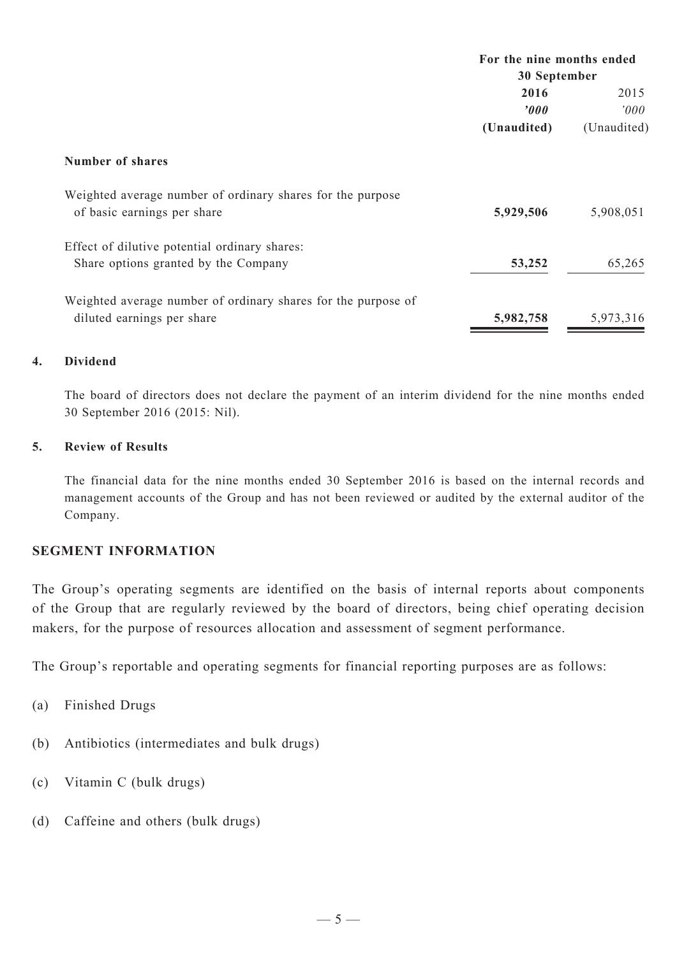|                  | For the nine months ended |  |  |
|------------------|---------------------------|--|--|
| 30 September     |                           |  |  |
| 2016             | 2015                      |  |  |
| $\boldsymbol{v}$ | 000'                      |  |  |
| (Unaudited)      | (Unaudited)               |  |  |
|                  |                           |  |  |
| 5,929,506        | 5,908,051                 |  |  |
| 53,252           | 65,265                    |  |  |
| 5,982,758        | 5,973,316                 |  |  |
|                  |                           |  |  |

# **4. Dividend**

The board of directors does not declare the payment of an interim dividend for the nine months ended 30 September 2016 (2015: Nil).

# **5. Review of Results**

The financial data for the nine months ended 30 September 2016 is based on the internal records and management accounts of the Group and has not been reviewed or audited by the external auditor of the Company.

# **SEGMENT INFORMATION**

The Group's operating segments are identified on the basis of internal reports about components of the Group that are regularly reviewed by the board of directors, being chief operating decision makers, for the purpose of resources allocation and assessment of segment performance.

The Group's reportable and operating segments for financial reporting purposes are as follows:

- (a) Finished Drugs
- (b) Antibiotics (intermediates and bulk drugs)
- (c) Vitamin C (bulk drugs)
- (d) Caffeine and others (bulk drugs)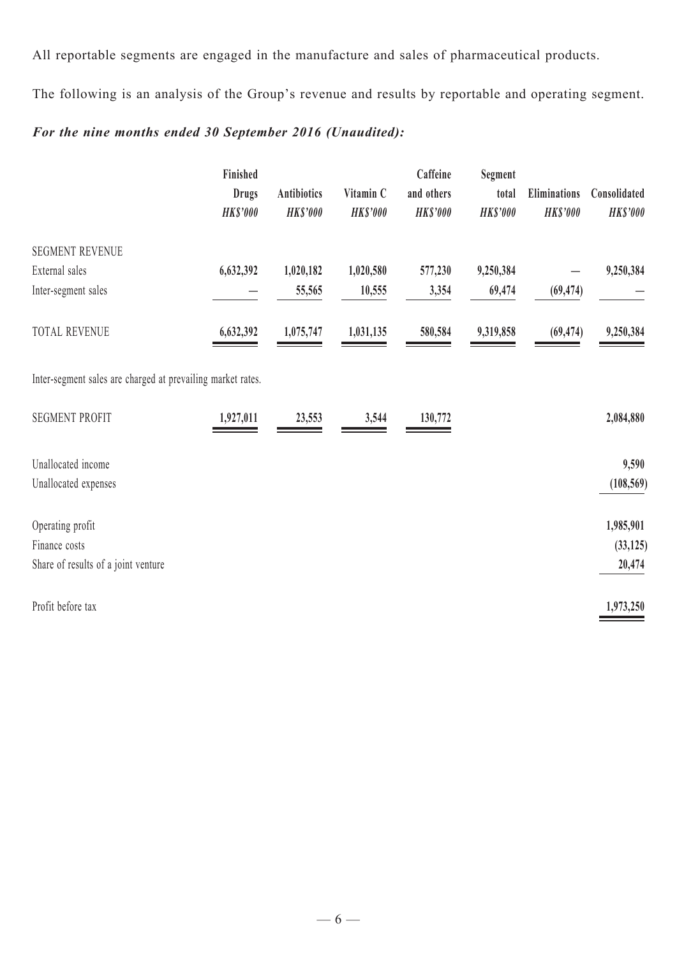All reportable segments are engaged in the manufacture and sales of pharmaceutical products.

The following is an analysis of the Group's revenue and results by reportable and operating segment.

# *For the nine months ended 30 September 2016 (Unaudited):*

|                                                             | Finished<br><b>Drugs</b><br><b>HK\$'000</b> | <b>Antibiotics</b><br><b>HK\$'000</b> | Vitamin C<br><b>HK\$'000</b> | Caffeine<br>and others<br><b>HK\$'000</b> | Segment<br>total<br><b>HK\$'000</b> | <b>Eliminations</b><br><b>HK\$'000</b> | Consolidated<br><b>HK\$'000</b> |
|-------------------------------------------------------------|---------------------------------------------|---------------------------------------|------------------------------|-------------------------------------------|-------------------------------------|----------------------------------------|---------------------------------|
| <b>SEGMENT REVENUE</b><br>External sales                    | 6,632,392                                   | 1,020,182                             | 1,020,580                    | 577,230                                   | 9,250,384                           |                                        | 9,250,384                       |
| Inter-segment sales                                         |                                             | 55,565                                | 10,555                       | 3,354                                     | 69,474                              | (69, 474)                              |                                 |
| <b>TOTAL REVENUE</b>                                        | 6,632,392                                   | 1,075,747                             | 1,031,135                    | 580,584                                   | 9,319,858                           | (69, 474)                              | 9,250,384                       |
| Inter-segment sales are charged at prevailing market rates. |                                             |                                       |                              |                                           |                                     |                                        |                                 |
| <b>SEGMENT PROFIT</b>                                       | 1,927,011                                   | 23,553                                | 3,544                        | 130,772                                   |                                     |                                        | 2,084,880                       |
| Unallocated income                                          |                                             |                                       |                              |                                           |                                     |                                        | 9,590                           |
| Unallocated expenses                                        |                                             |                                       |                              |                                           |                                     |                                        | (108, 569)                      |
| Operating profit                                            |                                             |                                       |                              |                                           |                                     |                                        | 1,985,901                       |
| Finance costs                                               |                                             |                                       |                              |                                           |                                     |                                        | (33, 125)                       |
| Share of results of a joint venture                         |                                             |                                       |                              |                                           |                                     |                                        | 20,474                          |
| Profit before tax                                           |                                             |                                       |                              |                                           |                                     |                                        | 1,973,250                       |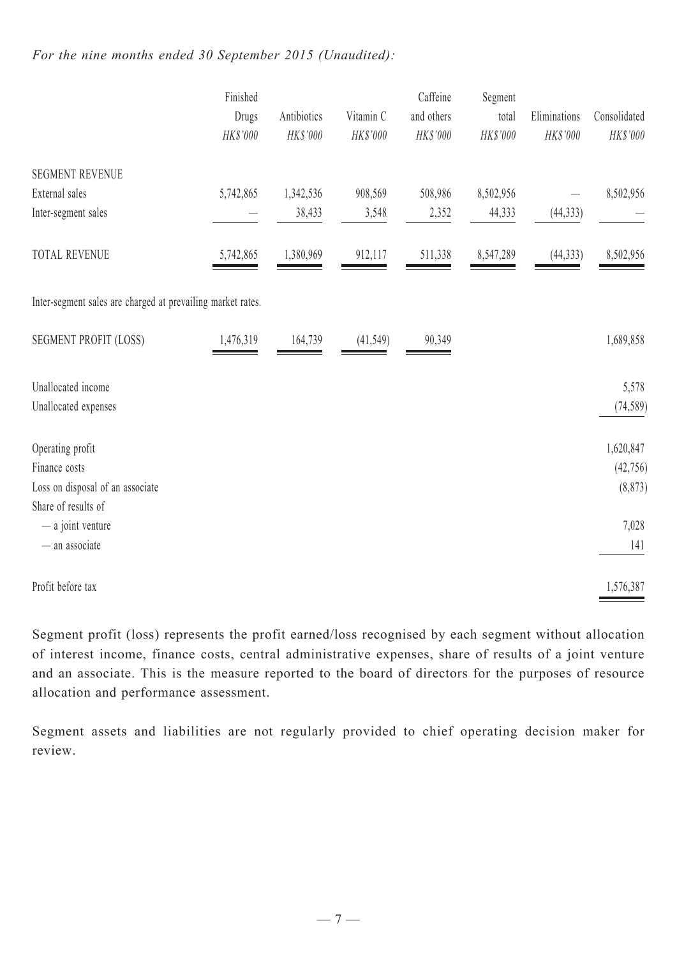# *For the nine months ended 30 September 2015 (Unaudited):*

|                                                                                              | Finished<br>Drugs<br>HK\$'000 | Antibiotics<br>HK\$'000 | Vitamin C<br>HK\$'000 | Caffeine<br>and others<br>HK\$'000 | Segment<br>total<br>HK\$'000 | Eliminations<br>HK\$'000 | Consolidated<br>HK\$'000           |
|----------------------------------------------------------------------------------------------|-------------------------------|-------------------------|-----------------------|------------------------------------|------------------------------|--------------------------|------------------------------------|
| <b>SEGMENT REVENUE</b><br>External sales                                                     | 5,742,865                     | 1,342,536               | 908,569               | 508,986                            | 8,502,956                    |                          | 8,502,956                          |
| Inter-segment sales                                                                          |                               | 38,433                  | 3,548                 | 2,352                              | 44,333                       | (44, 333)                |                                    |
| <b>TOTAL REVENUE</b>                                                                         | 5,742,865                     | 1,380,969               | 912,117               | 511,338                            | 8,547,289                    | (44, 333)                | 8,502,956                          |
| Inter-segment sales are charged at prevailing market rates.                                  |                               |                         |                       |                                    |                              |                          |                                    |
| <b>SEGMENT PROFIT (LOSS)</b>                                                                 | 1,476,319                     | 164,739                 | (41, 549)             | 90,349                             |                              |                          | 1,689,858                          |
| Unallocated income<br>Unallocated expenses                                                   |                               |                         |                       |                                    |                              |                          | 5,578<br>(74, 589)                 |
| Operating profit<br>Finance costs<br>Loss on disposal of an associate<br>Share of results of |                               |                         |                       |                                    |                              |                          | 1,620,847<br>(42, 756)<br>(8, 873) |
| - a joint venture<br>- an associate                                                          |                               |                         |                       |                                    |                              |                          | 7,028<br>141                       |
| Profit before tax                                                                            |                               |                         |                       |                                    |                              |                          | 1,576,387                          |

Segment profit (loss) represents the profit earned/loss recognised by each segment without allocation of interest income, finance costs, central administrative expenses, share of results of a joint venture and an associate. This is the measure reported to the board of directors for the purposes of resource allocation and performance assessment.

Segment assets and liabilities are not regularly provided to chief operating decision maker for review.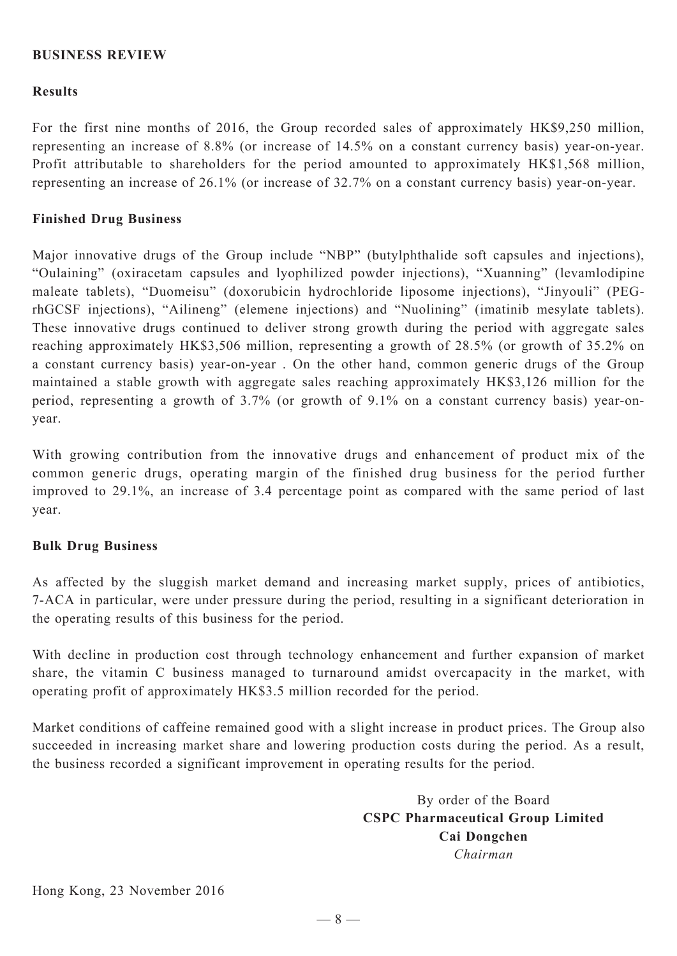# **BUSINESS REVIEW**

## **Results**

For the first nine months of 2016, the Group recorded sales of approximately HK\$9,250 million, representing an increase of 8.8% (or increase of 14.5% on a constant currency basis) year-on-year. Profit attributable to shareholders for the period amounted to approximately HK\$1,568 million, representing an increase of 26.1% (or increase of 32.7% on a constant currency basis) year-on-year.

## **Finished Drug Business**

Major innovative drugs of the Group include "NBP" (butylphthalide soft capsules and injections), "Oulaining" (oxiracetam capsules and lyophilized powder injections), "Xuanning" (levamlodipine maleate tablets), "Duomeisu" (doxorubicin hydrochloride liposome injections), "Jinyouli" (PEGrhGCSF injections), "Ailineng" (elemene injections) and "Nuolining" (imatinib mesylate tablets). These innovative drugs continued to deliver strong growth during the period with aggregate sales reaching approximately HK\$3,506 million, representing a growth of 28.5% (or growth of 35.2% on a constant currency basis) year-on-year . On the other hand, common generic drugs of the Group maintained a stable growth with aggregate sales reaching approximately HK\$3,126 million for the period, representing a growth of 3.7% (or growth of 9.1% on a constant currency basis) year-onyear.

With growing contribution from the innovative drugs and enhancement of product mix of the common generic drugs, operating margin of the finished drug business for the period further improved to 29.1%, an increase of 3.4 percentage point as compared with the same period of last year.

#### **Bulk Drug Business**

As affected by the sluggish market demand and increasing market supply, prices of antibiotics, 7-ACA in particular, were under pressure during the period, resulting in a significant deterioration in the operating results of this business for the period.

With decline in production cost through technology enhancement and further expansion of market share, the vitamin C business managed to turnaround amidst overcapacity in the market, with operating profit of approximately HK\$3.5 million recorded for the period.

Market conditions of caffeine remained good with a slight increase in product prices. The Group also succeeded in increasing market share and lowering production costs during the period. As a result, the business recorded a significant improvement in operating results for the period.

> By order of the Board **CSPC Pharmaceutical Group Limited Cai Dongchen** *Chairman*

Hong Kong, 23 November 2016